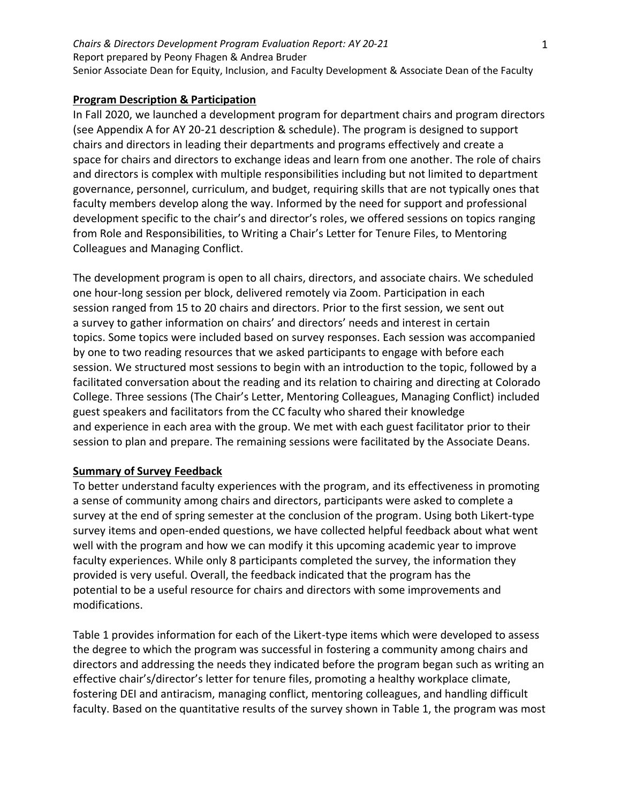### **Program Description & Participation**

In Fall 2020, we launched a development program for department chairs and program directors (see Appendix A for AY 20-21 description & schedule). The program is designed to support chairs and directors in leading their departments and programs effectively and create a space for chairs and directors to exchange ideas and learn from one another. The role of chairs and directors is complex with multiple responsibilities including but not limited to department governance, personnel, curriculum, and budget, requiring skills that are not typically ones that faculty members develop along the way. Informed by the need for support and professional development specific to the chair's and director's roles, we offered sessions on topics ranging from Role and Responsibilities, to Writing a Chair's Letter for Tenure Files, to Mentoring Colleagues and Managing Conflict.

The development program is open to all chairs, directors, and associate chairs. We scheduled one hour-long session per block, delivered remotely via Zoom. Participation in each session ranged from 15 to 20 chairs and directors. Prior to the first session, we sent out a survey to gather information on chairs' and directors' needs and interest in certain topics. Some topics were included based on survey responses. Each session was accompanied by one to two reading resources that we asked participants to engage with before each session. We structured most sessions to begin with an introduction to the topic, followed by a facilitated conversation about the reading and its relation to chairing and directing at Colorado College. Three sessions (The Chair's Letter, Mentoring Colleagues, Managing Conflict) included guest speakers and facilitators from the CC faculty who shared their knowledge and experience in each area with the group. We met with each guest facilitator prior to their session to plan and prepare. The remaining sessions were facilitated by the Associate Deans.

### **Summary of Survey Feedback**

To better understand faculty experiences with the program, and its effectiveness in promoting a sense of community among chairs and directors, participants were asked to complete a survey at the end of spring semester at the conclusion of the program. Using both Likert-type survey items and open-ended questions, we have collected helpful feedback about what went well with the program and how we can modify it this upcoming academic year to improve faculty experiences. While only 8 participants completed the survey, the information they provided is very useful. Overall, the feedback indicated that the program has the potential to be a useful resource for chairs and directors with some improvements and modifications.

Table 1 provides information for each of the Likert-type items which were developed to assess the degree to which the program was successful in fostering a community among chairs and directors and addressing the needs they indicated before the program began such as writing an effective chair's/director's letter for tenure files, promoting a healthy workplace climate, fostering DEI and antiracism, managing conflict, mentoring colleagues, and handling difficult faculty. Based on the quantitative results of the survey shown in Table 1, the program was most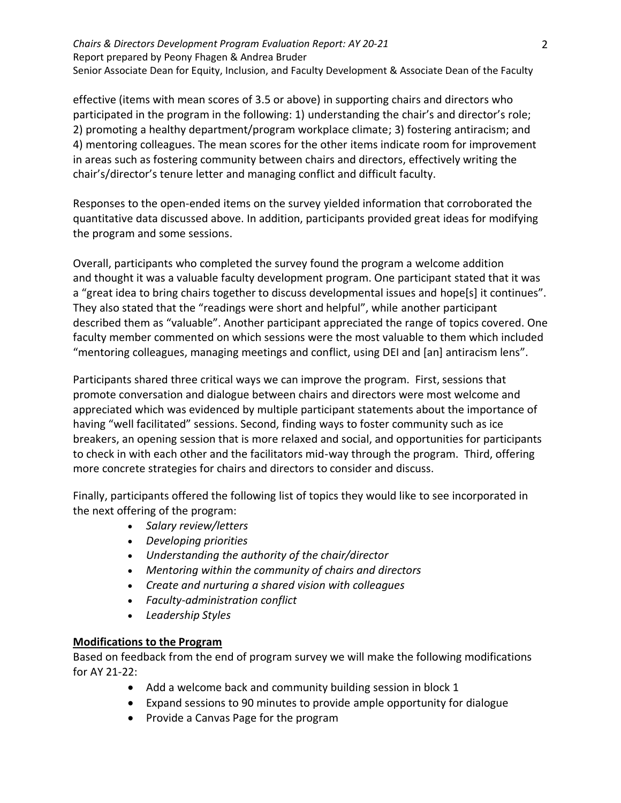#### *Chairs & Directors Development Program Evaluation Report: AY 20-21* Report prepared by Peony Fhagen & Andrea Bruder Senior Associate Dean for Equity, Inclusion, and Faculty Development & Associate Dean of the Faculty

effective (items with mean scores of 3.5 or above) in supporting chairs and directors who participated in the program in the following: 1) understanding the chair's and director's role; 2) promoting a healthy department/program workplace climate; 3) fostering antiracism; and 4) mentoring colleagues. The mean scores for the other items indicate room for improvement in areas such as fostering community between chairs and directors, effectively writing the chair's/director's tenure letter and managing conflict and difficult faculty.

Responses to the open-ended items on the survey yielded information that corroborated the quantitative data discussed above. In addition, participants provided great ideas for modifying the program and some sessions.

Overall, participants who completed the survey found the program a welcome addition and thought it was a valuable faculty development program. One participant stated that it was a "great idea to bring chairs together to discuss developmental issues and hope[s] it continues". They also stated that the "readings were short and helpful", while another participant described them as "valuable". Another participant appreciated the range of topics covered. One faculty member commented on which sessions were the most valuable to them which included "mentoring colleagues, managing meetings and conflict, using DEI and [an] antiracism lens".

Participants shared three critical ways we can improve the program. First, sessions that promote conversation and dialogue between chairs and directors were most welcome and appreciated which was evidenced by multiple participant statements about the importance of having "well facilitated" sessions. Second, finding ways to foster community such as ice breakers, an opening session that is more relaxed and social, and opportunities for participants to check in with each other and the facilitators mid-way through the program. Third, offering more concrete strategies for chairs and directors to consider and discuss.

Finally, participants offered the following list of topics they would like to see incorporated in the next offering of the program:

- *Salary review/letters*
- *Developing priorities*
- *Understanding the authority of the chair/director*
- *Mentoring within the community of chairs and directors*
- *Create and nurturing a shared vision with colleagues*
- *Faculty-administration conflict*
- *Leadership Styles*

# **Modifications to the Program**

Based on feedback from the end of program survey we will make the following modifications for AY 21-22:

- Add a welcome back and community building session in block 1
- Expand sessions to 90 minutes to provide ample opportunity for dialogue
- Provide a Canvas Page for the program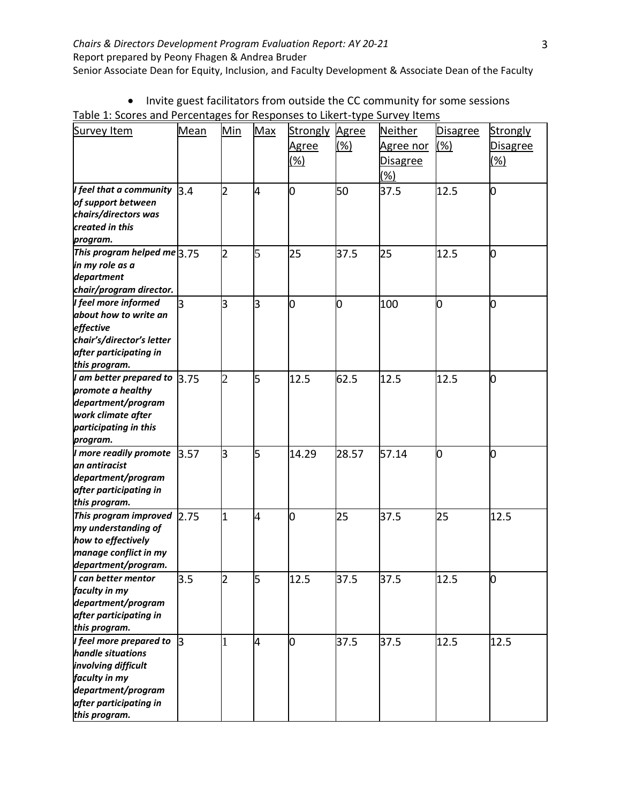| Survey Item                                  | <b>Mean</b>  | Min            | Max            | <b>Strongly</b> | Agree | <b>Neither</b> | <b>Disagree</b> | Strongly        |
|----------------------------------------------|--------------|----------------|----------------|-----------------|-------|----------------|-----------------|-----------------|
|                                              |              |                |                | <u>Agree</u>    | (%)   | Agree nor      | $(\%)$          | <b>Disagree</b> |
|                                              |              |                |                | $(\%)$          |       | Disagree       |                 | $(\%)$          |
|                                              |              |                |                |                 |       | (%)            |                 |                 |
| I feel that a community                      | 3.4          | 2              | 4              | 0               | 50    | 37.5           | 12.5            | 0               |
| of support between                           |              |                |                |                 |       |                |                 |                 |
| chairs/directors was                         |              |                |                |                 |       |                |                 |                 |
| created in this                              |              |                |                |                 |       |                |                 |                 |
| program.                                     |              |                |                |                 |       |                |                 |                 |
| This program helped me $3.75$                |              | $\overline{2}$ | 5              | 25              | 37.5  | 25             | 12.5            | 0               |
| in my role as a                              |              |                |                |                 |       |                |                 |                 |
| department                                   |              |                |                |                 |       |                |                 |                 |
| chair/program director.                      |              |                |                |                 |       |                |                 |                 |
| I feel more informed                         | <sup>3</sup> | 3              | 3              | 0               | 0     | 100            | O               | 0               |
| about how to write an<br>effective           |              |                |                |                 |       |                |                 |                 |
| chair's/director's letter                    |              |                |                |                 |       |                |                 |                 |
| after participating in                       |              |                |                |                 |       |                |                 |                 |
| this program.                                |              |                |                |                 |       |                |                 |                 |
| I am better prepared to                      | 3.75         | $\overline{2}$ | 5              | 12.5            | 62.5  | 12.5           | 12.5            | 0               |
| promote a healthy                            |              |                |                |                 |       |                |                 |                 |
| department/program                           |              |                |                |                 |       |                |                 |                 |
| work climate after                           |              |                |                |                 |       |                |                 |                 |
| participating in this                        |              |                |                |                 |       |                |                 |                 |
| program.                                     |              |                |                |                 |       |                |                 |                 |
| I more readily promote                       | 3.57         | З              | 5              | 14.29           | 28.57 | 57.14          | O               | O               |
| an antiracist                                |              |                |                |                 |       |                |                 |                 |
| department/program                           |              |                |                |                 |       |                |                 |                 |
| after participating in                       |              |                |                |                 |       |                |                 |                 |
| this program.                                |              |                |                |                 |       |                |                 |                 |
| This program improved<br>my understanding of | 2.75         | $\overline{1}$ | $\overline{4}$ | O               | 25    | 37.5           | 25              | 12.5            |
| how to effectively                           |              |                |                |                 |       |                |                 |                 |
| manage conflict in my                        |              |                |                |                 |       |                |                 |                 |
| department/program.                          |              |                |                |                 |       |                |                 |                 |
| I can better mentor                          | 3.5          | 2              | כ              | 12.5            | 37.5  | 37.5           | 12.5            | U               |
| faculty in my                                |              |                |                |                 |       |                |                 |                 |
| department/program                           |              |                |                |                 |       |                |                 |                 |
| after participating in                       |              |                |                |                 |       |                |                 |                 |
| this program.                                |              |                |                |                 |       |                |                 |                 |
| I feel more prepared to                      | lз           | 1              | 4              | 0               | 37.5  | 37.5           | 12.5            | 12.5            |
| handle situations                            |              |                |                |                 |       |                |                 |                 |
| involving difficult                          |              |                |                |                 |       |                |                 |                 |
| faculty in my                                |              |                |                |                 |       |                |                 |                 |
| department/program                           |              |                |                |                 |       |                |                 |                 |
| after participating in                       |              |                |                |                 |       |                |                 |                 |
| this program.                                |              |                |                |                 |       |                |                 |                 |

| Table 1: Scores and Percentages for Responses to Likert-type Survey Items |  |
|---------------------------------------------------------------------------|--|
|                                                                           |  |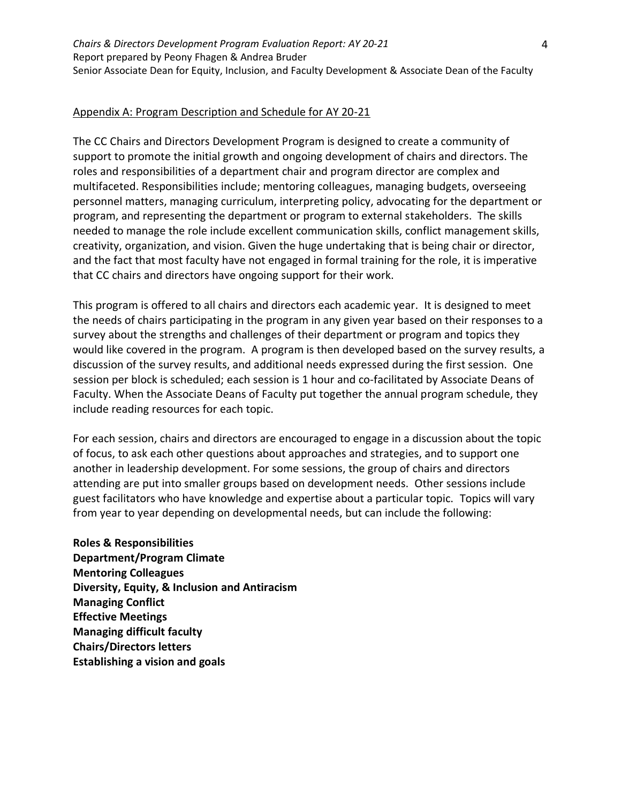## Appendix A: Program Description and Schedule for AY 20-21

The CC Chairs and Directors Development Program is designed to create a community of support to promote the initial growth and ongoing development of chairs and directors. The roles and responsibilities of a department chair and program director are complex and multifaceted. Responsibilities include; mentoring colleagues, managing budgets, overseeing personnel matters, managing curriculum, interpreting policy, advocating for the department or program, and representing the department or program to external stakeholders. The skills needed to manage the role include excellent communication skills, conflict management skills, creativity, organization, and vision. Given the huge undertaking that is being chair or director, and the fact that most faculty have not engaged in formal training for the role, it is imperative that CC chairs and directors have ongoing support for their work.

This program is offered to all chairs and directors each academic year. It is designed to meet the needs of chairs participating in the program in any given year based on their responses to a survey about the strengths and challenges of their department or program and topics they would like covered in the program. A program is then developed based on the survey results, a discussion of the survey results, and additional needs expressed during the first session. One session per block is scheduled; each session is 1 hour and co-facilitated by Associate Deans of Faculty. When the Associate Deans of Faculty put together the annual program schedule, they include reading resources for each topic.

For each session, chairs and directors are encouraged to engage in a discussion about the topic of focus, to ask each other questions about approaches and strategies, and to support one another in leadership development. For some sessions, the group of chairs and directors attending are put into smaller groups based on development needs. Other sessions include guest facilitators who have knowledge and expertise about a particular topic. Topics will vary from year to year depending on developmental needs, but can include the following:

**Roles & Responsibilities Department/Program Climate Mentoring Colleagues Diversity, Equity, & Inclusion and Antiracism Managing Conflict Effective Meetings Managing difficult faculty Chairs/Directors letters Establishing a vision and goals**